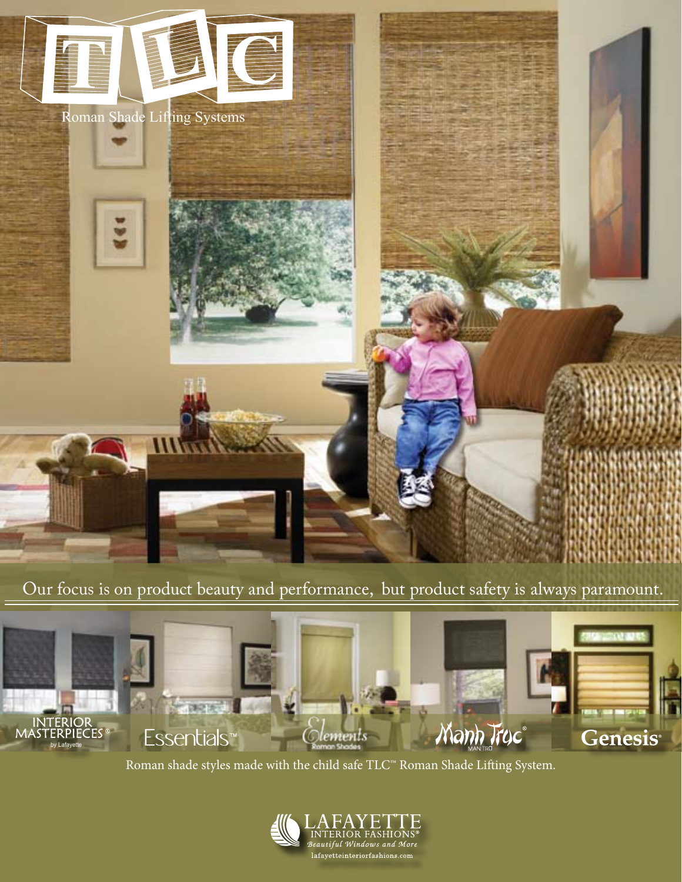

Our focus is on product beauty and performance, but product safety is always paramount.



Roman shade styles made with the child safe TLC™ Roman Shade Lifting System.